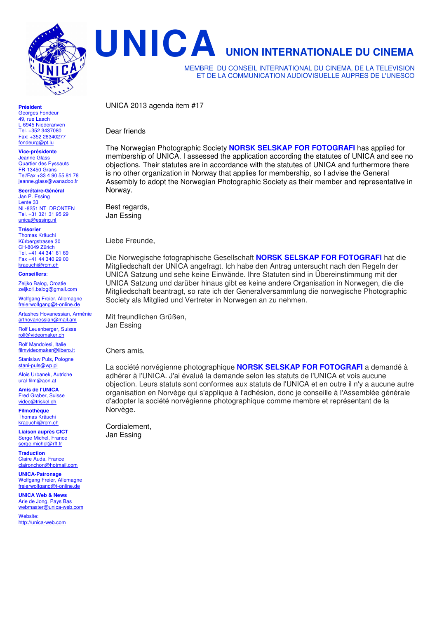

**Président** 

Georges Fondeur 49, rue Laach L-6945 Niederanven Tel. +352 3437080 Fax: +352 26340277 fondeurg@pt.lu

**Vice-présidente**  Jeanne Glass Quartier des Eyssauts FR-13450 Grans Tel/Fax +33 4 90 55 81 78 jeanne.glass@wanadoo.fr

**Secrétaire-Général**  Jan P. Essing Lente 33 NL-8251 NT DRONTEN Tel. +31 321 31 95 29

unica@essing.nl **Trésorier**  Thomas Kräuchi Kürbergstrasse 30 CH-8049 Zürich

Tel. +41 44 341 61 69 Fax +41 44 340 29 00 kraeuchi@rcm.ch

**Conseillers**:

Zeljko Balog, Croatie zeljko1.balog@gmail.com

Wolfgang Freier, Allemagne freierwolfgang@t-online.d

Artashes Hovanessian, Arménie arthovanessian@mail.am

Rolf Leuenberger, Suisse rolf@videomaker.ch

Rolf Mandolesi, Italie filmvideomaker@libero.it

Stanislaw Puls, Pologne stani-puls@wp.pl

Alois Urbanek, Autriche ural-film@aon.at

**Amis de l'UNICA**  Fred Graber, Suisse video@triskel.ch

**Filmothèque**  Thomas Kräuchi kraeuchi@rcm.ch

**Liaison auprès CICT**  Serge Michel, France serge.michel@rff.fr

**Traduction**  Claire Auda, France claironchon@hotmail.com

**UNICA-Patronage**  Wolfgang Freier, Allemagne freierwolfgang@t-online.de

**UNICA Web & News**  Arie de Jong, Pays Bas webmaster@unica-web.com

Website: http://unica-web.com **UNICA UNION INTERNATIONALE DU CINEMA**

MEMBRE DU CONSEIL INTERNATIONAL DU CINEMA, DE LA TELEVISION ET DE LA COMMUNICATION AUDIOVISUELLE AUPRES DE L'UNESCO

UNICA 2013 agenda item #17

Dear friends

The Norwegian Photographic Society **NORSK SELSKAP FOR FOTOGRAFI** has applied for membership of UNICA. I assessed the application according the statutes of UNICA and see no objections. Their statutes are in accordance with the statutes of UNICA and furthermore there is no other organization in Norway that applies for membership, so I advise the General Assembly to adopt the Norwegian Photographic Society as their member and representative in Norway.

Best regards, Jan Essing

Liebe Freunde,

Die Norwegische fotographische Gesellschaft **NORSK SELSKAP FOR FOTOGRAFI** hat die Mitgliedschaft der UNICA angefragt. Ich habe den Antrag untersucht nach den Regeln der UNICA Satzung und sehe keine Einwände. Ihre Statuten sind in Übereinstimmung mit der UNICA Satzung und darüber hinaus gibt es keine andere Organisation in Norwegen, die die Mitgliedschaft beantragt, so rate ich der Generalversammlung die norwegische Photographic Society als Mitglied und Vertreter in Norwegen an zu nehmen.

Mit freundlichen Grüßen, Jan Essing

Chers amis,

La société norvégienne photographique **NORSK SELSKAP FOR FOTOGRAFI** a demandé à adhérer à l'UNICA. J'ai évalué la demande selon les statuts de l'UNICA et vois aucune objection. Leurs statuts sont conformes aux statuts de l'UNICA et en outre il n'y a aucune autre organisation en Norvège qui s'applique à l'adhésion, donc je conseille à l'Assemblée générale d'adopter la société norvégienne photographique comme membre et représentant de la Norvège.

Cordialement, Jan Essing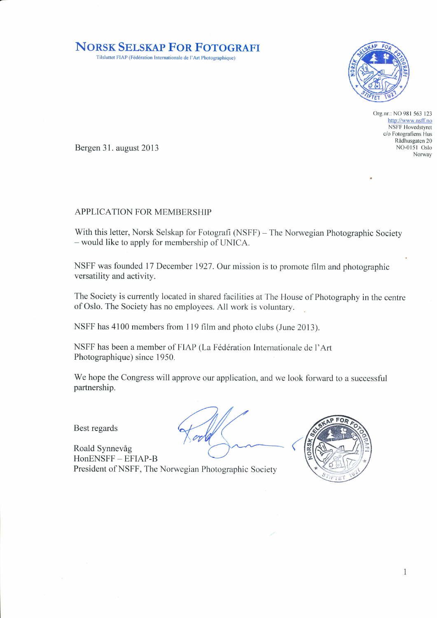## NORSK SELSKAP FOR FOTOGRAFI

Tilsluttet FIAP (Fédération Internationale de l'Art Photographique)



Org.nr.: NO 981 563 123 http://www.nsff.no NSFF Hovedstyret c/o Fotografiens Hus Rådhusgaten 20 NO-0151 Oslo Norway

Bergen 31. august 2013

## APPLICATION FOR MEMBERSHIP

With this letter, Norsk Selskap for Fotografi (NSFF) - The Norwegian Photographic Society - would like to apply for membership of UNICA.

NSFF was founded 17 December 1927.Our mission is to promote film and photographic versatility and activity.

The Society is currently located in shared facilities at The House of Photography in the centre of Oslo. The Society has no employees. All work is voluntary.

NSFF has 4100 members from I 19 film and photo clubs (June 2013).

NSFF has been a member of FIAP (La Fédération Internationale de l'Art Photographique) since 1950.

We hope the Congress will approve our application, and we look forward to a successful partnership.

Best regards



Roald Synnevåg HonENSFF - EFIAP-B President of NSFF, The Norwegian Photographic Society